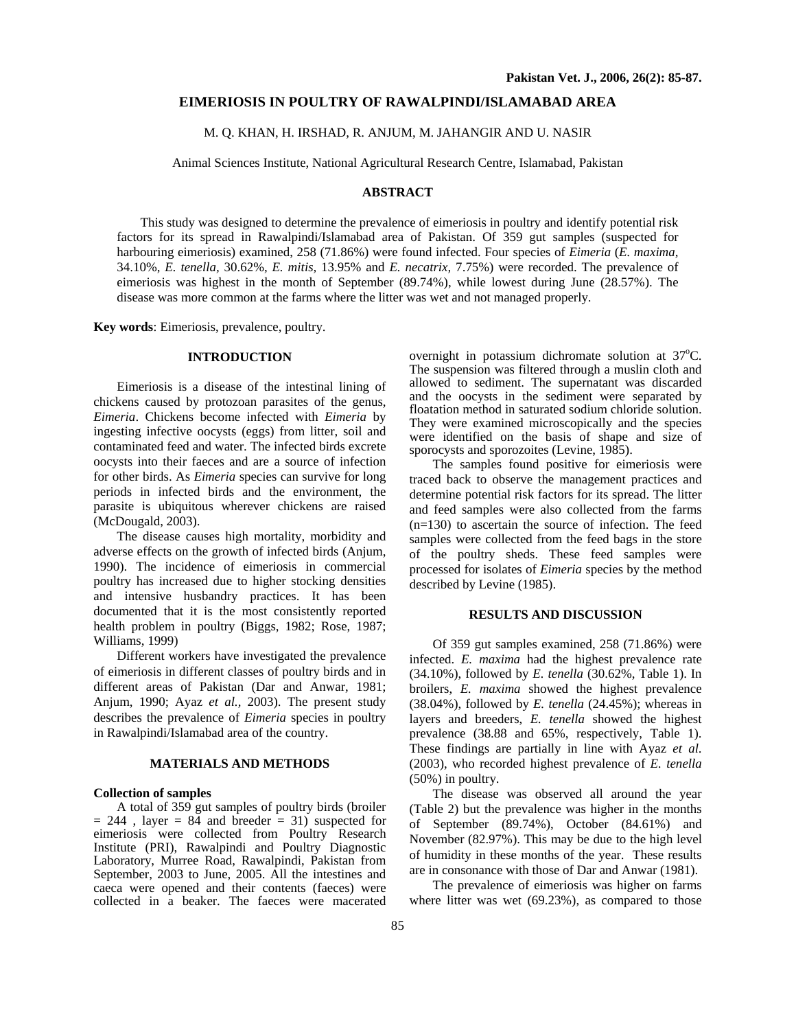## **EIMERIOSIS IN POULTRY OF RAWALPINDI/ISLAMABAD AREA**

M. Q. KHAN, H. IRSHAD, R. ANJUM, M. JAHANGIR AND U. NASIR

Animal Sciences Institute, National Agricultural Research Centre, Islamabad, Pakistan

# **ABSTRACT**

This study was designed to determine the prevalence of eimeriosis in poultry and identify potential risk factors for its spread in Rawalpindi/Islamabad area of Pakistan. Of 359 gut samples (suspected for harbouring eimeriosis) examined, 258 (71.86%) were found infected. Four species of *Eimeria* (*E. maxima,*  34.10%, *E. tenella,* 30.62%, *E. mitis,* 13.95% and *E. necatrix,* 7.75%) were recorded. The prevalence of eimeriosis was highest in the month of September (89.74%), while lowest during June (28.57%). The disease was more common at the farms where the litter was wet and not managed properly.

**Key words**: Eimeriosis, prevalence, poultry.

## **INTRODUCTION**

Eimeriosis is a disease of the intestinal lining of chickens caused by protozoan parasites of the genus, *Eimeria*. Chickens become infected with *Eimeria* by ingesting infective oocysts (eggs) from litter, soil and contaminated feed and water. The infected birds excrete oocysts into their faeces and are a source of infection for other birds. As *Eimeria* species can survive for long periods in infected birds and the environment, the parasite is ubiquitous wherever chickens are raised (McDougald, 2003).

The disease causes high mortality, morbidity and adverse effects on the growth of infected birds (Anjum, 1990). The incidence of eimeriosis in commercial poultry has increased due to higher stocking densities and intensive husbandry practices. It has been documented that it is the most consistently reported health problem in poultry (Biggs, 1982; Rose, 1987; Williams, 1999)

Different workers have investigated the prevalence of eimeriosis in different classes of poultry birds and in different areas of Pakistan (Dar and Anwar, 1981; Anjum, 1990; Ayaz *et al.,* 2003). The present study describes the prevalence of *Eimeria* species in poultry in Rawalpindi/Islamabad area of the country.

#### **MATERIALS AND METHODS**

#### **Collection of samples**

A total of 359 gut samples of poultry birds (broiler  $= 244$ , layer  $= 84$  and breeder  $= 31$ ) suspected for eimeriosis were collected from Poultry Research Institute (PRI), Rawalpindi and Poultry Diagnostic Laboratory, Murree Road, Rawalpindi, Pakistan from September, 2003 to June, 2005. All the intestines and caeca were opened and their contents (faeces) were collected in a beaker. The faeces were macerated

overnight in potassium dichromate solution at 37°C. The suspension was filtered through a muslin cloth and allowed to sediment. The supernatant was discarded and the oocysts in the sediment were separated by floatation method in saturated sodium chloride solution. They were examined microscopically and the species were identified on the basis of shape and size of sporocysts and sporozoites (Levine, 1985).

The samples found positive for eimeriosis were traced back to observe the management practices and determine potential risk factors for its spread. The litter and feed samples were also collected from the farms (n=130) to ascertain the source of infection. The feed samples were collected from the feed bags in the store of the poultry sheds. These feed samples were processed for isolates of *Eimeria* species by the method described by Levine (1985).

#### **RESULTS AND DISCUSSION**

Of 359 gut samples examined, 258 (71.86%) were infected. *E. maxima* had the highest prevalence rate (34.10%), followed by *E. tenella* (30.62%, Table 1). In broilers, *E. maxima* showed the highest prevalence (38.04%), followed by *E. tenella* (24.45%); whereas in layers and breeders, *E. tenella* showed the highest prevalence (38.88 and 65%, respectively, Table 1). These findings are partially in line with Ayaz *et al*. (2003), who recorded highest prevalence of *E. tenella* (50%) in poultry.

The disease was observed all around the year (Table 2) but the prevalence was higher in the months of September (89.74%), October (84.61%) and November (82.97%). This may be due to the high level of humidity in these months of the year. These results are in consonance with those of Dar and Anwar (1981).

The prevalence of eimeriosis was higher on farms where litter was wet (69.23%), as compared to those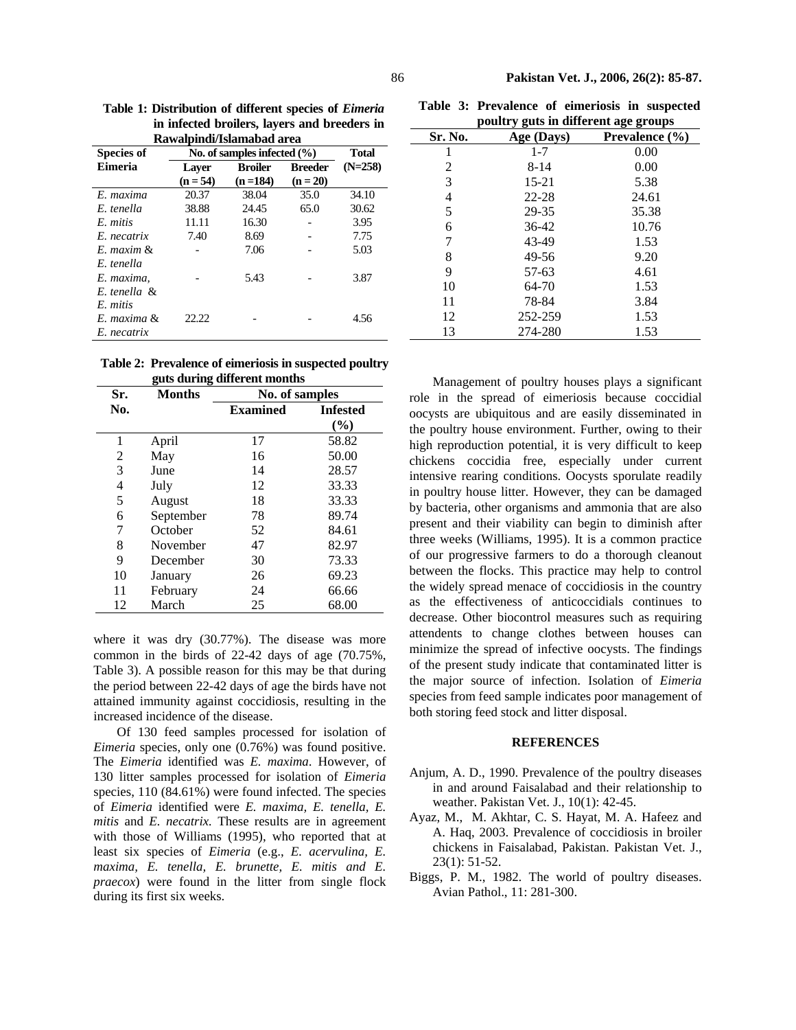| Rawalpindi/Islamabad area |                                 |                |                |           |  |  |
|---------------------------|---------------------------------|----------------|----------------|-----------|--|--|
| <b>Species of</b>         | No. of samples infected $(\% )$ | <b>Total</b>   |                |           |  |  |
| Eimeria                   | Laver                           | <b>Broiler</b> | <b>Breeder</b> | $(N=258)$ |  |  |
|                           | $(n = 54)$                      | $(n=184)$      | $(n = 20)$     |           |  |  |
| E. maxima                 | 20.37                           | 38.04          | 35.0           | 34.10     |  |  |
| E tenella                 | 38.88                           | 24.45          | 65.0           | 30.62     |  |  |
| E mitis                   | 11.11                           | 16.30          |                | 3.95      |  |  |
| E. necatrix               | 7.40                            | 8.69           |                | 7.75      |  |  |
| $E$ maxim $\&$            |                                 | 7.06           |                | 5.03      |  |  |
| E. tenella                |                                 |                |                |           |  |  |
| E. maxima.                |                                 | 5.43           |                | 3.87      |  |  |
| E. tenella &              |                                 |                |                |           |  |  |
| E. mitis                  |                                 |                |                |           |  |  |
| E. maxima &               | 22.22                           |                |                | 4.56      |  |  |
| E. necatrix               |                                 |                |                |           |  |  |

**Table 1: Distribution of different species of** *Eimeria* **in infected broilers, layers and breeders in**

|                              | Table 2: Prevalence of eimeriosis in suspected poultry |  |  |
|------------------------------|--------------------------------------------------------|--|--|
| guts during different months |                                                        |  |  |

| Sr. | <b>Months</b> | No. of samples  |                        |
|-----|---------------|-----------------|------------------------|
| No. |               | <b>Examined</b> | <b>Infested</b><br>(%) |
| 1   | April         | 17              | 58.82                  |
| 2   | May           | 16              | 50.00                  |
| 3   | June          | 14              | 28.57                  |
| 4   | July          | 12              | 33.33                  |
| 5   | August        | 18              | 33.33                  |
| 6   | September     | 78              | 89.74                  |
| 7   | October       | 52              | 84.61                  |
| 8   | November      | 47              | 82.97                  |
| 9   | December      | 30              | 73.33                  |
| 10  | January       | 26              | 69.23                  |
| 11  | February      | 24              | 66.66                  |
| 12  | March         | 25              | 68.00                  |

where it was dry (30.77%). The disease was more common in the birds of 22-42 days of age (70.75%, Table 3). A possible reason for this may be that during the period between 22-42 days of age the birds have not attained immunity against coccidiosis, resulting in the increased incidence of the disease.

Of 130 feed samples processed for isolation of *Eimeria* species, only one (0.76%) was found positive. The *Eimeria* identified was *E. maxima*. However, of 130 litter samples processed for isolation of *Eimeria* species, 110 (84.61%) were found infected. The species of *Eimeria* identified were *E. maxima, E. tenella, E. mitis* and *E. necatrix.* These results are in agreement with those of Williams (1995), who reported that at least six species of *Eimeria* (e.g., *E. acervulina, E. maxima, E. tenella, E. brunette, E. mitis and E. praecox*) were found in the litter from single flock during its first six weeks.

**Table 3: Prevalence of eimeriosis in suspected poultry guts in different age groups**

| pount y guis in univerent age groups |            |                    |  |  |  |
|--------------------------------------|------------|--------------------|--|--|--|
| Sr. No.                              | Age (Days) | Prevalence $(\% )$ |  |  |  |
| 1                                    | $1 - 7$    | 0.00               |  |  |  |
| 2                                    | $8 - 14$   | 0.00               |  |  |  |
| 3                                    | 15-21      | 5.38               |  |  |  |
| 4                                    | $22 - 28$  | 24.61              |  |  |  |
| 5                                    | 29-35      | 35.38              |  |  |  |
| 6                                    | 36-42      | 10.76              |  |  |  |
| 7                                    | 43-49      | 1.53               |  |  |  |
| 8                                    | 49-56      | 9.20               |  |  |  |
| 9                                    | 57-63      | 4.61               |  |  |  |
| 10                                   | 64-70      | 1.53               |  |  |  |
| 11                                   | 78-84      | 3.84               |  |  |  |
| 12                                   | 252-259    | 1.53               |  |  |  |
| 13                                   | 274-280    | 1.53               |  |  |  |

Management of poultry houses plays a significant role in the spread of eimeriosis because coccidial oocysts are ubiquitous and are easily disseminated in the poultry house environment. Further, owing to their high reproduction potential, it is very difficult to keep chickens coccidia free, especially under current intensive rearing conditions. Oocysts sporulate readily in poultry house litter. However, they can be damaged by bacteria, other organisms and ammonia that are also present and their viability can begin to diminish after three weeks (Williams, 1995). It is a common practice of our progressive farmers to do a thorough cleanout between the flocks. This practice may help to control the widely spread menace of coccidiosis in the country as the effectiveness of anticoccidials continues to decrease. Other biocontrol measures such as requiring attendents to change clothes between houses can minimize the spread of infective oocysts. The findings of the present study indicate that contaminated litter is the major source of infection. Isolation of *Eimeria* species from feed sample indicates poor management of both storing feed stock and litter disposal.

### **REFERENCES**

- Anjum, A. D., 1990. Prevalence of the poultry diseases in and around Faisalabad and their relationship to weather. Pakistan Vet. J., 10(1): 42-45.
- Ayaz, M., M. Akhtar, C. S. Hayat, M. A. Hafeez and A. Haq, 2003. Prevalence of coccidiosis in broiler chickens in Faisalabad, Pakistan. Pakistan Vet. J., 23(1): 51-52.
- Biggs, P. M., 1982. The world of poultry diseases. Avian Pathol., 11: 281-300.